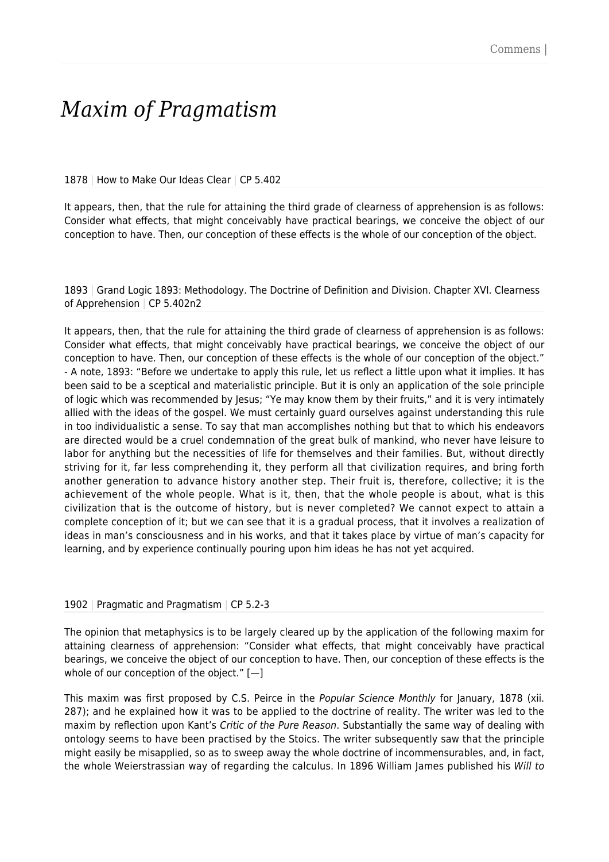# *Maxim of Pragmatism*

1878 | How to Make Our Ideas Clear | CP 5.402

It appears, then, that the rule for attaining the third grade of clearness of apprehension is as follows: Consider what effects, that might conceivably have practical bearings, we conceive the object of our conception to have. Then, our conception of these effects is the whole of our conception of the object.

1893 | Grand Logic 1893: Methodology. The Doctrine of Definition and Division. Chapter XVI. Clearness of Apprehension | CP 5.402n2

It appears, then, that the rule for attaining the third grade of clearness of apprehension is as follows: Consider what effects, that might conceivably have practical bearings, we conceive the object of our conception to have. Then, our conception of these effects is the whole of our conception of the object." - A note, 1893: "Before we undertake to apply this rule, let us reflect a little upon what it implies. It has been said to be a sceptical and materialistic principle. But it is only an application of the sole principle of logic which was recommended by Jesus; "Ye may know them by their fruits," and it is very intimately allied with the ideas of the gospel. We must certainly guard ourselves against understanding this rule in too individualistic a sense. To say that man accomplishes nothing but that to which his endeavors are directed would be a cruel condemnation of the great bulk of mankind, who never have leisure to labor for anything but the necessities of life for themselves and their families. But, without directly striving for it, far less comprehending it, they perform all that civilization requires, and bring forth another generation to advance history another step. Their fruit is, therefore, collective; it is the achievement of the whole people. What is it, then, that the whole people is about, what is this civilization that is the outcome of history, but is never completed? We cannot expect to attain a complete conception of it; but we can see that it is a gradual process, that it involves a realization of ideas in man's consciousness and in his works, and that it takes place by virtue of man's capacity for learning, and by experience continually pouring upon him ideas he has not yet acquired.

#### 1902 | Pragmatic and Pragmatism | CP 5.2-3

The opinion that metaphysics is to be largely cleared up by the application of the following maxim for attaining clearness of apprehension: "Consider what effects, that might conceivably have practical bearings, we conceive the object of our conception to have. Then, our conception of these effects is the whole of our conception of the object." [—]

This maxim was first proposed by C.S. Peirce in the Popular Science Monthly for January, 1878 (xii. 287); and he explained how it was to be applied to the doctrine of reality. The writer was led to the maxim by reflection upon Kant's Critic of the Pure Reason. Substantially the same way of dealing with ontology seems to have been practised by the Stoics. The writer subsequently saw that the principle might easily be misapplied, so as to sweep away the whole doctrine of incommensurables, and, in fact, the whole Weierstrassian way of regarding the calculus. In 1896 William James published his Will to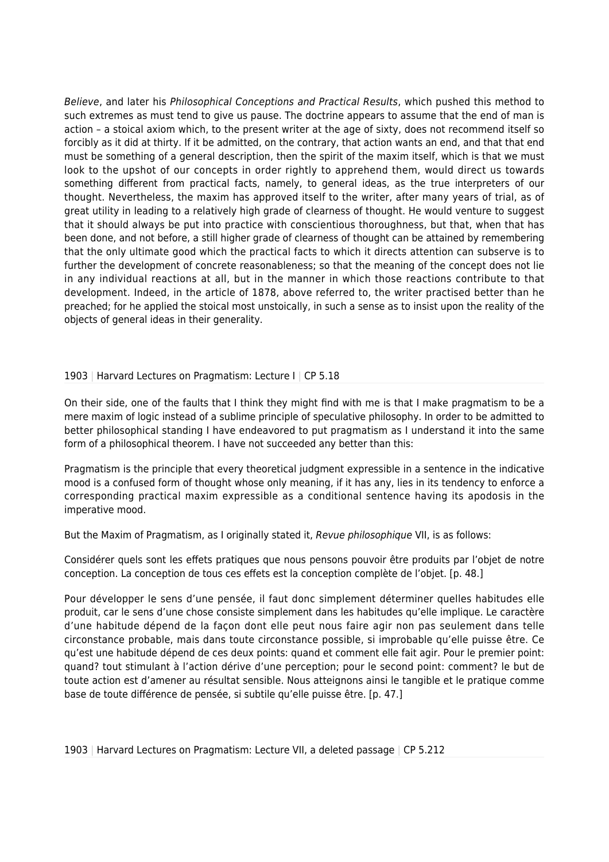Believe, and later his Philosophical Conceptions and Practical Results, which pushed this method to such extremes as must tend to give us pause. The doctrine appears to assume that the end of man is action – a stoical axiom which, to the present writer at the age of sixty, does not recommend itself so forcibly as it did at thirty. If it be admitted, on the contrary, that action wants an end, and that that end must be something of a general description, then the spirit of the maxim itself, which is that we must look to the upshot of our concepts in order rightly to apprehend them, would direct us towards something different from practical facts, namely, to general ideas, as the true interpreters of our thought. Nevertheless, the maxim has approved itself to the writer, after many years of trial, as of great utility in leading to a relatively high grade of clearness of thought. He would venture to suggest that it should always be put into practice with conscientious thoroughness, but that, when that has been done, and not before, a still higher grade of clearness of thought can be attained by remembering that the only ultimate good which the practical facts to which it directs attention can subserve is to further the development of concrete reasonableness; so that the meaning of the concept does not lie in any individual reactions at all, but in the manner in which those reactions contribute to that development. Indeed, in the article of 1878, above referred to, the writer practised better than he preached; for he applied the stoical most unstoically, in such a sense as to insist upon the reality of the objects of general ideas in their generality.

### 1903 | Harvard Lectures on Pragmatism: Lecture I | CP 5.18

On their side, one of the faults that I think they might find with me is that I make pragmatism to be a mere maxim of logic instead of a sublime principle of speculative philosophy. In order to be admitted to better philosophical standing I have endeavored to put pragmatism as I understand it into the same form of a philosophical theorem. I have not succeeded any better than this:

Pragmatism is the principle that every theoretical judgment expressible in a sentence in the indicative mood is a confused form of thought whose only meaning, if it has any, lies in its tendency to enforce a corresponding practical maxim expressible as a conditional sentence having its apodosis in the imperative mood.

But the Maxim of Pragmatism, as I originally stated it, Revue philosophique VII, is as follows:

Considérer quels sont les effets pratiques que nous pensons pouvoir être produits par l'objet de notre conception. La conception de tous ces effets est la conception complète de l'objet. [p. 48.]

Pour développer le sens d'une pensée, il faut donc simplement déterminer quelles habitudes elle produit, car le sens d'une chose consiste simplement dans les habitudes qu'elle implique. Le caractère d'une habitude dépend de la façon dont elle peut nous faire agir non pas seulement dans telle circonstance probable, mais dans toute circonstance possible, si improbable qu'elle puisse être. Ce qu'est une habitude dépend de ces deux points: quand et comment elle fait agir. Pour le premier point: quand? tout stimulant à l'action dérive d'une perception; pour le second point: comment? le but de toute action est d'amener au résultat sensible. Nous atteignons ainsi le tangible et le pratique comme base de toute différence de pensée, si subtile qu'elle puisse être. [p. 47.]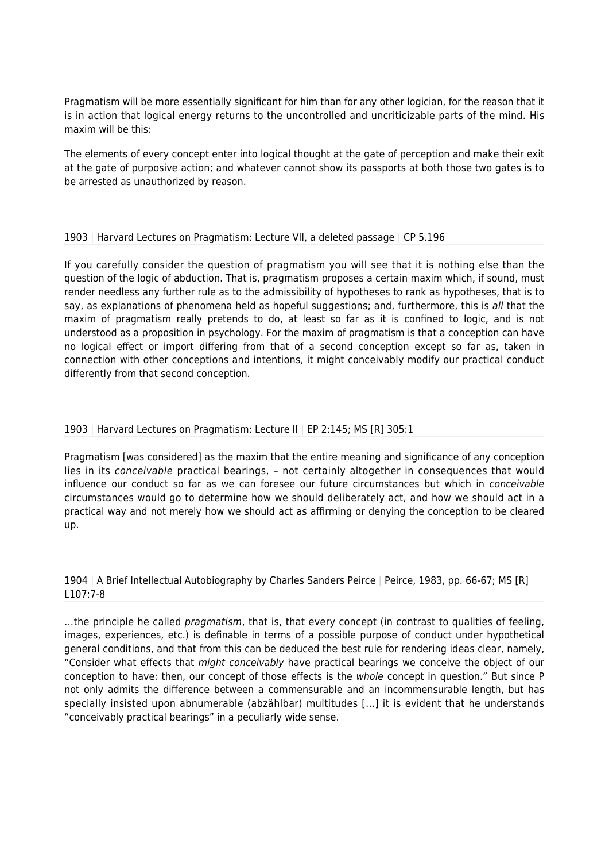Pragmatism will be more essentially significant for him than for any other logician, for the reason that it is in action that logical energy returns to the uncontrolled and uncriticizable parts of the mind. His maxim will be this:

The elements of every concept enter into logical thought at the gate of perception and make their exit at the gate of purposive action; and whatever cannot show its passports at both those two gates is to be arrested as unauthorized by reason.

### 1903 | Harvard Lectures on Pragmatism: Lecture VII, a deleted passage | CP 5.196

If you carefully consider the question of pragmatism you will see that it is nothing else than the question of the logic of abduction. That is, pragmatism proposes a certain maxim which, if sound, must render needless any further rule as to the admissibility of hypotheses to rank as hypotheses, that is to say, as explanations of phenomena held as hopeful suggestions; and, furthermore, this is all that the maxim of pragmatism really pretends to do, at least so far as it is confined to logic, and is not understood as a proposition in psychology. For the maxim of pragmatism is that a conception can have no logical effect or import differing from that of a second conception except so far as, taken in connection with other conceptions and intentions, it might conceivably modify our practical conduct differently from that second conception.

## 1903 | Harvard Lectures on Pragmatism: Lecture II | EP 2:145; MS [R] 305:1

Pragmatism [was considered] as the maxim that the entire meaning and significance of any conception lies in its conceivable practical bearings, – not certainly altogether in consequences that would influence our conduct so far as we can foresee our future circumstances but which in *conceivable* circumstances would go to determine how we should deliberately act, and how we should act in a practical way and not merely how we should act as affirming or denying the conception to be cleared up.

## 1904 | A Brief Intellectual Autobiography by Charles Sanders Peirce | Peirce, 1983, pp. 66-67; MS [R] L107:7-8

...the principle he called *pragmatism*, that is, that every concept (in contrast to qualities of feeling, images, experiences, etc.) is definable in terms of a possible purpose of conduct under hypothetical general conditions, and that from this can be deduced the best rule for rendering ideas clear, namely, "Consider what effects that might conceivably have practical bearings we conceive the object of our conception to have: then, our concept of those effects is the whole concept in question." But since P not only admits the difference between a commensurable and an incommensurable length, but has specially insisted upon abnumerable (abzählbar) multitudes […] it is evident that he understands "conceivably practical bearings" in a peculiarly wide sense.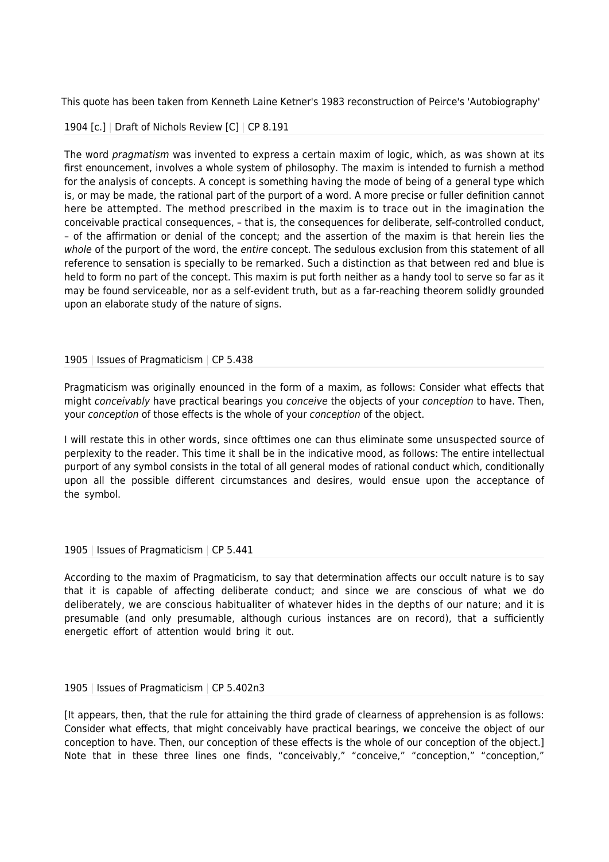This quote has been taken from Kenneth Laine Ketner's 1983 reconstruction of Peirce's 'Autobiography'

1904 [c.] | Draft of Nichols Review [C] | CP 8.191

The word pragmatism was invented to express a certain maxim of logic, which, as was shown at its first enouncement, involves a whole system of philosophy. The maxim is intended to furnish a method for the analysis of concepts. A concept is something having the mode of being of a general type which is, or may be made, the rational part of the purport of a word. A more precise or fuller definition cannot here be attempted. The method prescribed in the maxim is to trace out in the imagination the conceivable practical consequences, – that is, the consequences for deliberate, self-controlled conduct, – of the affirmation or denial of the concept; and the assertion of the maxim is that herein lies the whole of the purport of the word, the entire concept. The sedulous exclusion from this statement of all reference to sensation is specially to be remarked. Such a distinction as that between red and blue is held to form no part of the concept. This maxim is put forth neither as a handy tool to serve so far as it may be found serviceable, nor as a self-evident truth, but as a far-reaching theorem solidly grounded upon an elaborate study of the nature of signs.

#### 1905 | Issues of Pragmaticism | CP 5.438

Pragmaticism was originally enounced in the form of a maxim, as follows: Consider what effects that might conceivably have practical bearings you conceive the objects of your conception to have. Then, your conception of those effects is the whole of your conception of the object.

I will restate this in other words, since ofttimes one can thus eliminate some unsuspected source of perplexity to the reader. This time it shall be in the indicative mood, as follows: The entire intellectual purport of any symbol consists in the total of all general modes of rational conduct which, conditionally upon all the possible different circumstances and desires, would ensue upon the acceptance of the symbol.

#### 1905 | Issues of Pragmaticism | CP 5.441

According to the maxim of Pragmaticism, to say that determination affects our occult nature is to say that it is capable of affecting deliberate conduct; and since we are conscious of what we do deliberately, we are conscious habitualiter of whatever hides in the depths of our nature; and it is presumable (and only presumable, although curious instances are on record), that a sufficiently energetic effort of attention would bring it out.

#### 1905 | Issues of Pragmaticism | CP 5.402n3

[It appears, then, that the rule for attaining the third grade of clearness of apprehension is as follows: Consider what effects, that might conceivably have practical bearings, we conceive the object of our conception to have. Then, our conception of these effects is the whole of our conception of the object.] Note that in these three lines one finds, "conceivably," "conceive," "conception," "conception,"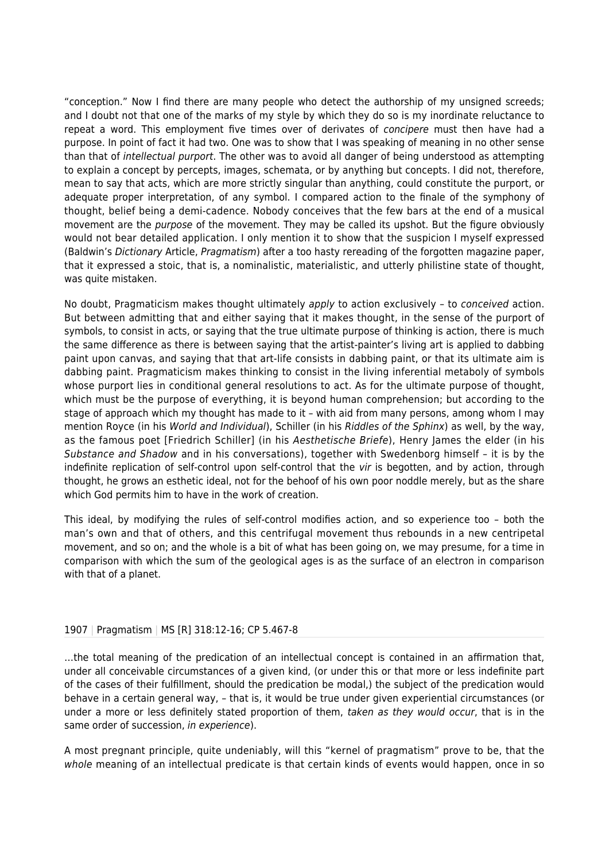"conception." Now I find there are many people who detect the authorship of my unsigned screeds; and I doubt not that one of the marks of my style by which they do so is my inordinate reluctance to repeat a word. This employment five times over of derivates of concipere must then have had a purpose. In point of fact it had two. One was to show that I was speaking of meaning in no other sense than that of intellectual purport. The other was to avoid all danger of being understood as attempting to explain a concept by percepts, images, schemata, or by anything but concepts. I did not, therefore, mean to say that acts, which are more strictly singular than anything, could constitute the purport, or adequate proper interpretation, of any symbol. I compared action to the finale of the symphony of thought, belief being a demi-cadence. Nobody conceives that the few bars at the end of a musical movement are the *purpose* of the movement. They may be called its upshot. But the figure obviously would not bear detailed application. I only mention it to show that the suspicion I myself expressed (Baldwin's Dictionary Article, Pragmatism) after a too hasty rereading of the forgotten magazine paper, that it expressed a stoic, that is, a nominalistic, materialistic, and utterly philistine state of thought, was quite mistaken.

No doubt, Pragmaticism makes thought ultimately apply to action exclusively - to *conceived* action. But between admitting that and either saying that it makes thought, in the sense of the purport of symbols, to consist in acts, or saying that the true ultimate purpose of thinking is action, there is much the same difference as there is between saying that the artist-painter's living art is applied to dabbing paint upon canvas, and saying that that art-life consists in dabbing paint, or that its ultimate aim is dabbing paint. Pragmaticism makes thinking to consist in the living inferential metaboly of symbols whose purport lies in conditional general resolutions to act. As for the ultimate purpose of thought, which must be the purpose of everything, it is beyond human comprehension; but according to the stage of approach which my thought has made to it – with aid from many persons, among whom I may mention Royce (in his World and Individual), Schiller (in his Riddles of the Sphinx) as well, by the way, as the famous poet [Friedrich Schiller] (in his Aesthetische Briefe), Henry James the elder (in his Substance and Shadow and in his conversations), together with Swedenborg himself – it is by the indefinite replication of self-control upon self-control that the vir is begotten, and by action, through thought, he grows an esthetic ideal, not for the behoof of his own poor noddle merely, but as the share which God permits him to have in the work of creation.

This ideal, by modifying the rules of self-control modifies action, and so experience too – both the man's own and that of others, and this centrifugal movement thus rebounds in a new centripetal movement, and so on; and the whole is a bit of what has been going on, we may presume, for a time in comparison with which the sum of the geological ages is as the surface of an electron in comparison with that of a planet.

## 1907 | Pragmatism | MS [R] 318:12-16; CP 5.467-8

…the total meaning of the predication of an intellectual concept is contained in an affirmation that, under all conceivable circumstances of a given kind, (or under this or that more or less indefinite part of the cases of their fulfillment, should the predication be modal,) the subject of the predication would behave in a certain general way, – that is, it would be true under given experiential circumstances (or under a more or less definitely stated proportion of them, taken as they would occur, that is in the same order of succession, in experience).

A most pregnant principle, quite undeniably, will this "kernel of pragmatism" prove to be, that the whole meaning of an intellectual predicate is that certain kinds of events would happen, once in so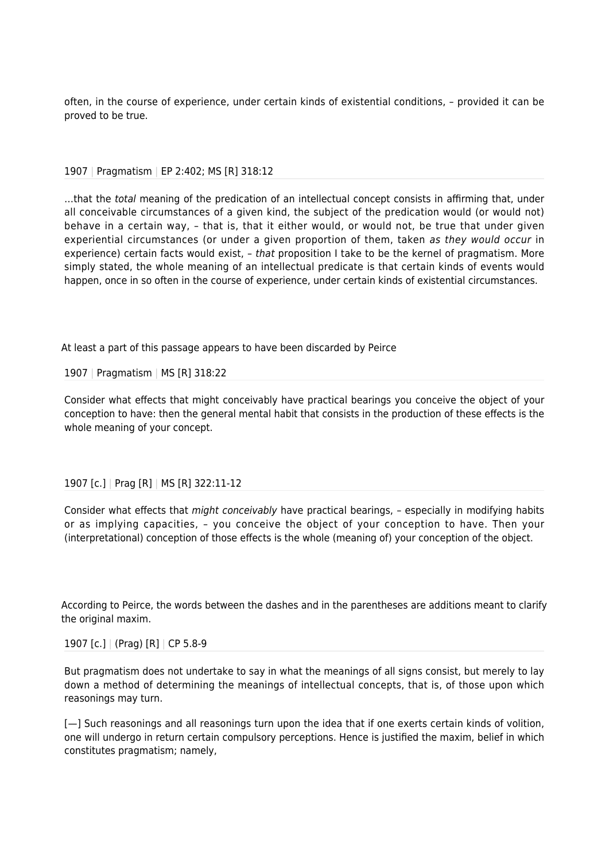often, in the course of experience, under certain kinds of existential conditions, – provided it can be proved to be true.

#### 1907 | Pragmatism | EP 2:402; MS [R] 318:12

…that the total meaning of the predication of an intellectual concept consists in affirming that, under all conceivable circumstances of a given kind, the subject of the predication would (or would not) behave in a certain way, – that is, that it either would, or would not, be true that under given experiential circumstances (or under a given proportion of them, taken as they would occur in experience) certain facts would exist, - that proposition I take to be the kernel of pragmatism. More simply stated, the whole meaning of an intellectual predicate is that certain kinds of events would happen, once in so often in the course of experience, under certain kinds of existential circumstances.

At least a part of this passage appears to have been discarded by Peirce

1907 | Pragmatism | MS [R] 318:22

Consider what effects that might conceivably have practical bearings you conceive the object of your conception to have: then the general mental habit that consists in the production of these effects is the whole meaning of your concept.

## 1907 [c.] | Prag [R] | MS [R] 322:11-12

Consider what effects that might conceivably have practical bearings, – especially in modifying habits or as implying capacities, – you conceive the object of your conception to have. Then your (interpretational) conception of those effects is the whole (meaning of) your conception of the object.

According to Peirce, the words between the dashes and in the parentheses are additions meant to clarify the original maxim.

#### 1907 [c.] | (Prag) [R] | CP 5.8-9

But pragmatism does not undertake to say in what the meanings of all signs consist, but merely to lay down a method of determining the meanings of intellectual concepts, that is, of those upon which reasonings may turn.

[- 1 Such reasonings and all reasonings turn upon the idea that if one exerts certain kinds of volition, one will undergo in return certain compulsory perceptions. Hence is justified the maxim, belief in which constitutes pragmatism; namely,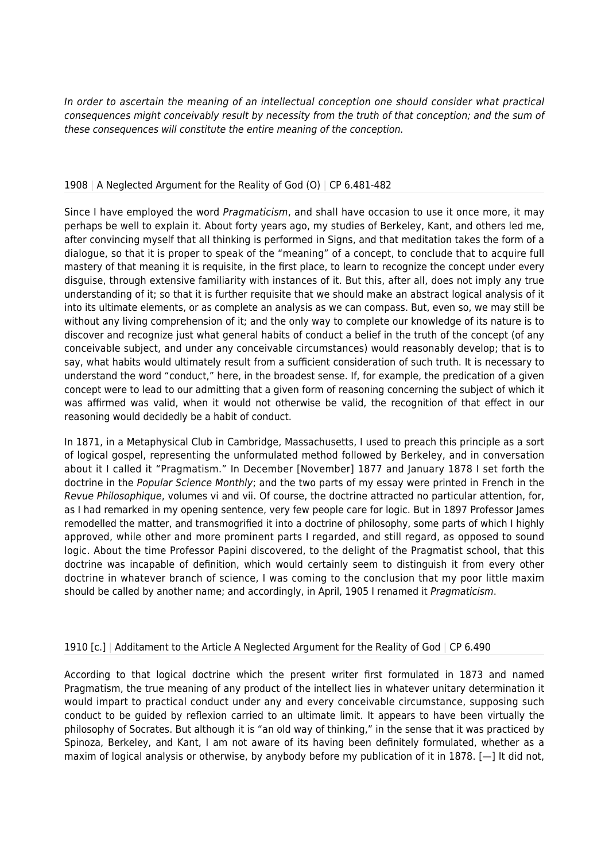In order to ascertain the meaning of an intellectual conception one should consider what practical consequences might conceivably result by necessity from the truth of that conception; and the sum of these consequences will constitute the entire meaning of the conception.

## 1908 | A Neglected Argument for the Reality of God (O) | CP 6.481-482

Since I have employed the word Pragmaticism, and shall have occasion to use it once more, it may perhaps be well to explain it. About forty years ago, my studies of Berkeley, Kant, and others led me, after convincing myself that all thinking is performed in Signs, and that meditation takes the form of a dialogue, so that it is proper to speak of the "meaning" of a concept, to conclude that to acquire full mastery of that meaning it is requisite, in the first place, to learn to recognize the concept under every disguise, through extensive familiarity with instances of it. But this, after all, does not imply any true understanding of it; so that it is further requisite that we should make an abstract logical analysis of it into its ultimate elements, or as complete an analysis as we can compass. But, even so, we may still be without any living comprehension of it; and the only way to complete our knowledge of its nature is to discover and recognize just what general habits of conduct a belief in the truth of the concept (of any conceivable subject, and under any conceivable circumstances) would reasonably develop; that is to say, what habits would ultimately result from a sufficient consideration of such truth. It is necessary to understand the word "conduct," here, in the broadest sense. If, for example, the predication of a given concept were to lead to our admitting that a given form of reasoning concerning the subject of which it was affirmed was valid, when it would not otherwise be valid, the recognition of that effect in our reasoning would decidedly be a habit of conduct.

In 1871, in a Metaphysical Club in Cambridge, Massachusetts, I used to preach this principle as a sort of logical gospel, representing the unformulated method followed by Berkeley, and in conversation about it I called it "Pragmatism." In December [November] 1877 and January 1878 I set forth the doctrine in the Popular Science Monthly; and the two parts of my essay were printed in French in the Revue Philosophique, volumes vi and vii. Of course, the doctrine attracted no particular attention, for, as I had remarked in my opening sentence, very few people care for logic. But in 1897 Professor James remodelled the matter, and transmogrified it into a doctrine of philosophy, some parts of which I highly approved, while other and more prominent parts I regarded, and still regard, as opposed to sound logic. About the time Professor Papini discovered, to the delight of the Pragmatist school, that this doctrine was incapable of definition, which would certainly seem to distinguish it from every other doctrine in whatever branch of science, I was coming to the conclusion that my poor little maxim should be called by another name; and accordingly, in April, 1905 I renamed it *Pragmaticism*.

#### 1910 [c.] Additament to the Article A Neglected Argument for the Reality of God | CP 6.490

According to that logical doctrine which the present writer first formulated in 1873 and named Pragmatism, the true meaning of any product of the intellect lies in whatever unitary determination it would impart to practical conduct under any and every conceivable circumstance, supposing such conduct to be guided by reflexion carried to an ultimate limit. It appears to have been virtually the philosophy of Socrates. But although it is "an old way of thinking," in the sense that it was practiced by Spinoza, Berkeley, and Kant, I am not aware of its having been definitely formulated, whether as a maxim of logical analysis or otherwise, by anybody before my publication of it in 1878. [—] It did not,